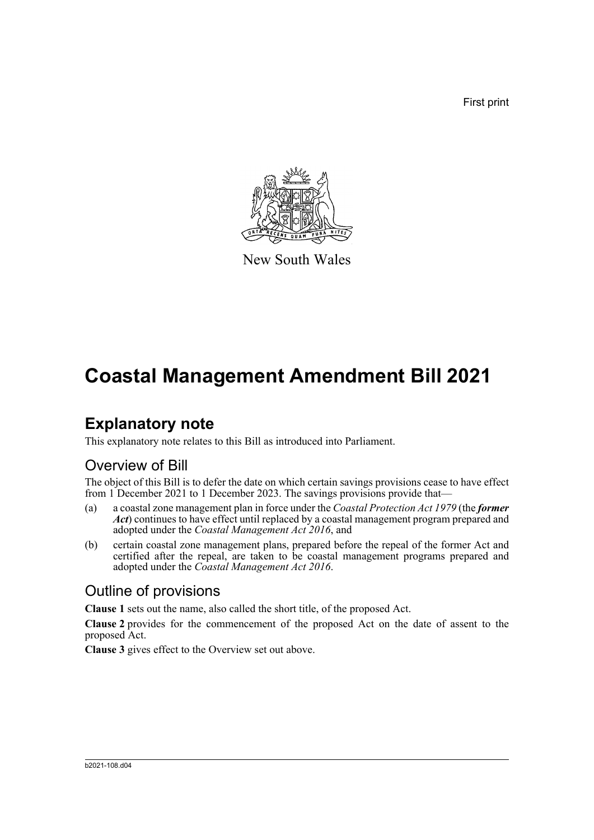First print



New South Wales

# **Coastal Management Amendment Bill 2021**

### **Explanatory note**

This explanatory note relates to this Bill as introduced into Parliament.

#### Overview of Bill

The object of this Bill is to defer the date on which certain savings provisions cease to have effect from 1 December 2021 to 1 December 2023. The savings provisions provide that-

- (a) a coastal zone management plan in force under the *Coastal Protection Act 1979* (the *former Act*) continues to have effect until replaced by a coastal management program prepared and adopted under the *Coastal Management Act 2016*, and
- (b) certain coastal zone management plans, prepared before the repeal of the former Act and certified after the repeal, are taken to be coastal management programs prepared and adopted under the *Coastal Management Act 2016*.

#### Outline of provisions

**Clause 1** sets out the name, also called the short title, of the proposed Act.

**Clause 2** provides for the commencement of the proposed Act on the date of assent to the proposed Act.

**Clause 3** gives effect to the Overview set out above.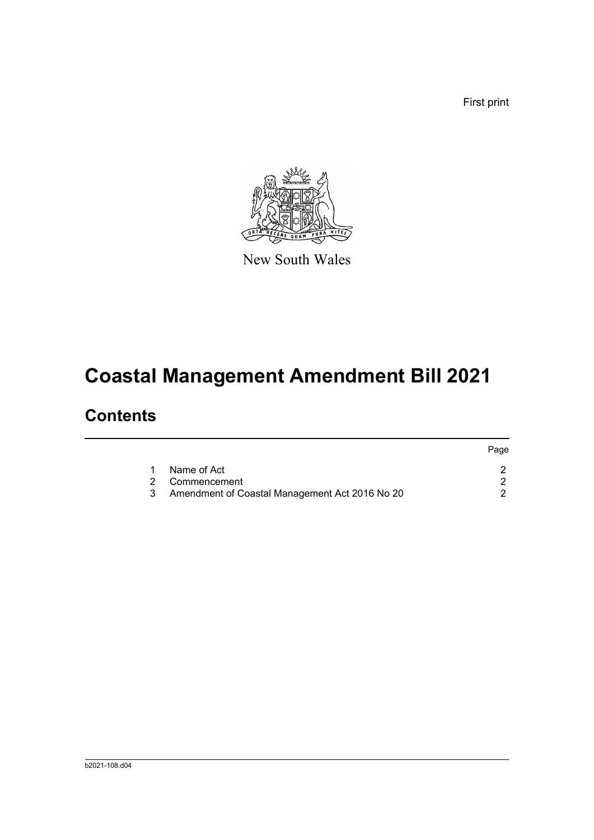First print



New South Wales

# **Coastal Management Amendment Bill 2021**

### **Contents**

|                                                | Page |
|------------------------------------------------|------|
| Name of Act                                    |      |
| 2 Commencement                                 |      |
| Amendment of Coastal Management Act 2016 No 20 |      |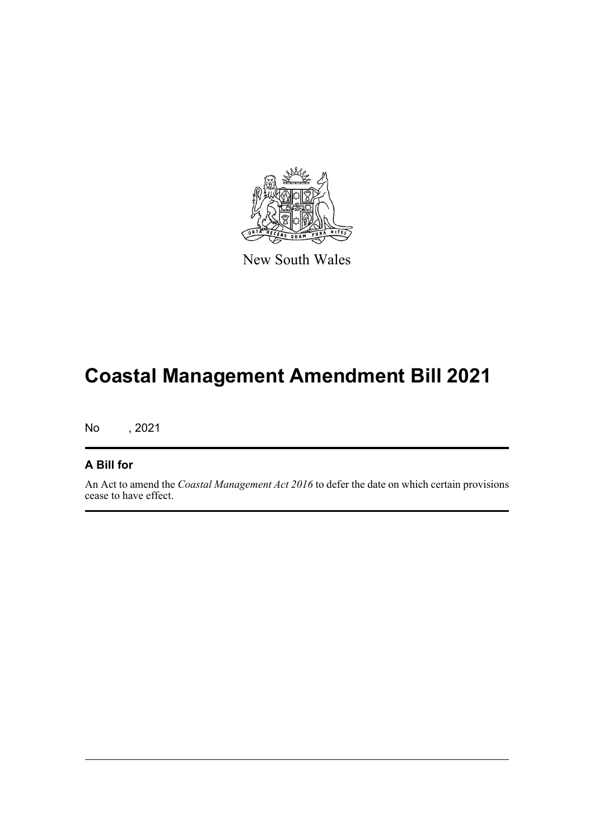

New South Wales

# **Coastal Management Amendment Bill 2021**

No , 2021

#### **A Bill for**

An Act to amend the *Coastal Management Act 2016* to defer the date on which certain provisions cease to have effect.